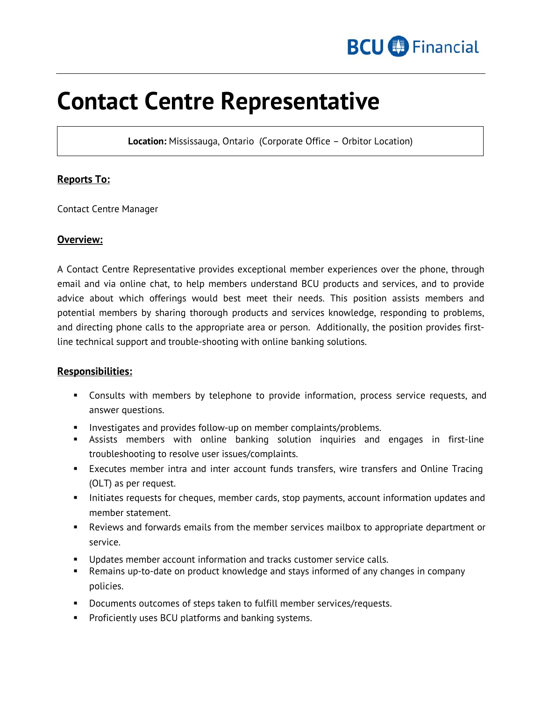

# **Contact Centre Representative**

**Location:** Mississauga, Ontario (Corporate Office – Orbitor Location)

## **Reports To:**

Contact Centre Manager

#### **Overview:**

A Contact Centre Representative provides exceptional member experiences over the phone, through email and via online chat, to help members understand BCU products and services, and to provide advice about which offerings would best meet their needs. This position assists members and potential members by sharing thorough products and services knowledge, responding to problems, and directing phone calls to the appropriate area or person. Additionally, the position provides firstline technical support and trouble-shooting with online banking solutions.

#### **Responsibilities:**

- Consults with members by telephone to provide information, process service requests, and answer questions.
- **Investigates and provides follow-up on member complaints/problems.**
- Assists members with online banking solution inquiries and engages in first-line troubleshooting to resolve user issues/complaints.
- Executes member intra and inter account funds transfers, wire transfers and Online Tracing (OLT) as per request.
- Initiates requests for cheques, member cards, stop payments, account information updates and member statement.
- Reviews and forwards emails from the member services mailbox to appropriate department or service.
- Updates member account information and tracks customer service calls.
- Remains up-to-date on product knowledge and stays informed of any changes in company policies.
- Documents outcomes of steps taken to fulfill member services/requests.
- **Proficiently uses BCU platforms and banking systems.**